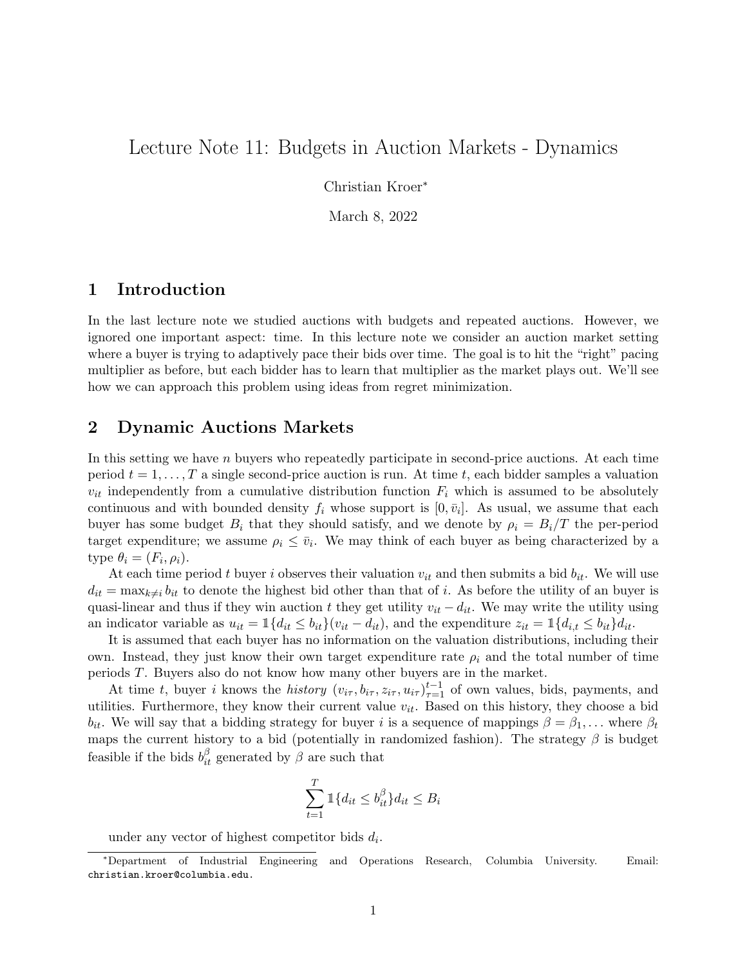# Lecture Note 11: Budgets in Auction Markets - Dynamics

Christian Kroer<sup>∗</sup>

March 8, 2022

### 1 Introduction

In the last lecture note we studied auctions with budgets and repeated auctions. However, we ignored one important aspect: time. In this lecture note we consider an auction market setting where a buyer is trying to adaptively pace their bids over time. The goal is to hit the "right" pacing multiplier as before, but each bidder has to learn that multiplier as the market plays out. We'll see how we can approach this problem using ideas from regret minimization.

#### 2 Dynamic Auctions Markets

In this setting we have  $n$  buyers who repeatedly participate in second-price auctions. At each time period  $t = 1, \ldots, T$  a single second-price auction is run. At time t, each bidder samples a valuation  $v_{it}$  independently from a cumulative distribution function  $F_i$  which is assumed to be absolutely continuous and with bounded density  $f_i$  whose support is  $[0, \bar{v}_i]$ . As usual, we assume that each buyer has some budget  $B_i$  that they should satisfy, and we denote by  $\rho_i = B_i/T$  the per-period target expenditure; we assume  $\rho_i \leq \bar{v}_i$ . We may think of each buyer as being characterized by a type  $\theta_i = (F_i, \rho_i)$ .

At each time period t buyer i observes their valuation  $v_{it}$  and then submits a bid  $b_{it}$ . We will use  $d_{it} = \max_{k \neq i} b_{it}$  to denote the highest bid other than that of i. As before the utility of an buyer is quasi-linear and thus if they win auction t they get utility  $v_{it} - d_{it}$ . We may write the utility using an indicator variable as  $u_{it} = \mathbb{1}\{d_{it} \leq b_{it}\}(v_{it} - d_{it})$ , and the expenditure  $z_{it} = \mathbb{1}\{d_{i,t} \leq b_{it}\}d_{it}$ .

It is assumed that each buyer has no information on the valuation distributions, including their own. Instead, they just know their own target expenditure rate  $\rho_i$  and the total number of time periods T. Buyers also do not know how many other buyers are in the market.

At time t, buyer i knows the history  $(v_{i\tau}, b_{i\tau}, z_{i\tau}, u_{i\tau})_{\tau=1}^{t-1}$  of own values, bids, payments, and utilities. Furthermore, they know their current value  $v_{it}$ . Based on this history, they choose a bid  $b_{it}$ . We will say that a bidding strategy for buyer i is a sequence of mappings  $\beta = \beta_1, \ldots$  where  $\beta_t$ maps the current history to a bid (potentially in randomized fashion). The strategy  $\beta$  is budget feasible if the bids  $b_{it}^{\beta}$  generated by  $\beta$  are such that

$$
\sum_{t=1}^{T} \mathbb{1}\{d_{it} \le b_{it}^{\beta}\} d_{it} \le B_i
$$

under any vector of highest competitor bids  $d_i$ .

<sup>∗</sup>Department of Industrial Engineering and Operations Research, Columbia University. Email: christian.kroer@columbia.edu.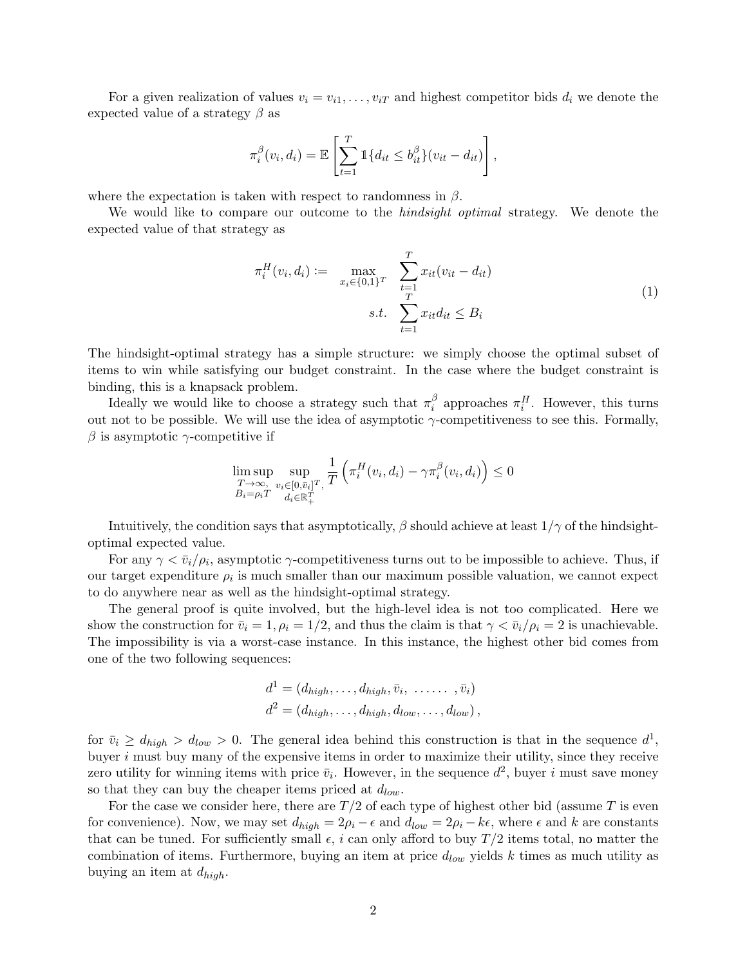For a given realization of values  $v_i = v_{i1}, \ldots, v_{iT}$  and highest competitor bids  $d_i$  we denote the expected value of a strategy  $\beta$  as

$$
\pi_i^{\beta}(v_i, d_i) = \mathbb{E}\left[\sum_{t=1}^T \mathbb{1}\{d_{it} \leq b_{it}^{\beta}\}(v_{it} - d_{it})\right],
$$

where the expectation is taken with respect to randomness in  $\beta$ .

We would like to compare our outcome to the *hindsight optimal* strategy. We denote the expected value of that strategy as

<span id="page-1-0"></span>
$$
\pi_i^H(v_i, d_i) := \max_{x_i \in \{0, 1\}^T} \sum_{\substack{t=1 \ t \neq 1}}^T x_{it}(v_{it} - d_{it})
$$
\n
$$
s.t. \sum_{t=1}^T x_{it} d_{it} \leq B_i
$$
\n(1)

The hindsight-optimal strategy has a simple structure: we simply choose the optimal subset of items to win while satisfying our budget constraint. In the case where the budget constraint is binding, this is a knapsack problem.

Ideally we would like to choose a strategy such that  $\pi_i^{\beta}$  $\frac{\beta}{i}$  approaches  $\pi_i^H$ . However, this turns out not to be possible. We will use the idea of asymptotic  $\gamma$ -competitiveness to see this. Formally,  $\beta$  is asymptotic  $\gamma$ -competitive if

$$
\limsup_{\substack{T \to \infty, \\ B_i = \rho_i T}} \sup_{\substack{v_i \in [0, \bar{v}_i]^T, \\ d_i \in \mathbb{R}_+^T}} \frac{1}{T} \left( \pi_i^H(v_i, d_i) - \gamma \pi_i^{\beta}(v_i, d_i) \right) \le 0
$$

Intuitively, the condition says that asymptotically,  $\beta$  should achieve at least  $1/\gamma$  of the hindsightoptimal expected value.

For any  $\gamma < \bar{v}_i/\rho_i$ , asymptotic  $\gamma$ -competitiveness turns out to be impossible to achieve. Thus, if our target expenditure  $\rho_i$  is much smaller than our maximum possible valuation, we cannot expect to do anywhere near as well as the hindsight-optimal strategy.

The general proof is quite involved, but the high-level idea is not too complicated. Here we show the construction for  $\bar{v}_i = 1, \rho_i = 1/2$ , and thus the claim is that  $\gamma < \bar{v}_i/\rho_i = 2$  is unachievable. The impossibility is via a worst-case instance. In this instance, the highest other bid comes from one of the two following sequences:

$$
d1 = (dhigh, ..., dhigh, \overline{v}_i, ..., \overline{v}_i)
$$
  

$$
d2 = (dhigh, ..., dhigh, dlow, ..., dlow),
$$

for  $\bar{v}_i \ge d_{high} > d_{low} > 0$ . The general idea behind this construction is that in the sequence  $d^1$ , buyer  $i$  must buy many of the expensive items in order to maximize their utility, since they receive zero utility for winning items with price  $\bar{v}_i$ . However, in the sequence  $d^2$ , buyer i must save money so that they can buy the cheaper items priced at  $d_{low}$ .

For the case we consider here, there are  $T/2$  of each type of highest other bid (assume T is even for convenience). Now, we may set  $d_{high} = 2\rho_i - \epsilon$  and  $d_{low} = 2\rho_i - k\epsilon$ , where  $\epsilon$  and k are constants that can be tuned. For sufficiently small  $\epsilon$ , i can only afford to buy  $T/2$  items total, no matter the combination of items. Furthermore, buying an item at price  $d_{low}$  yields k times as much utility as buying an item at  $d_{high}$ .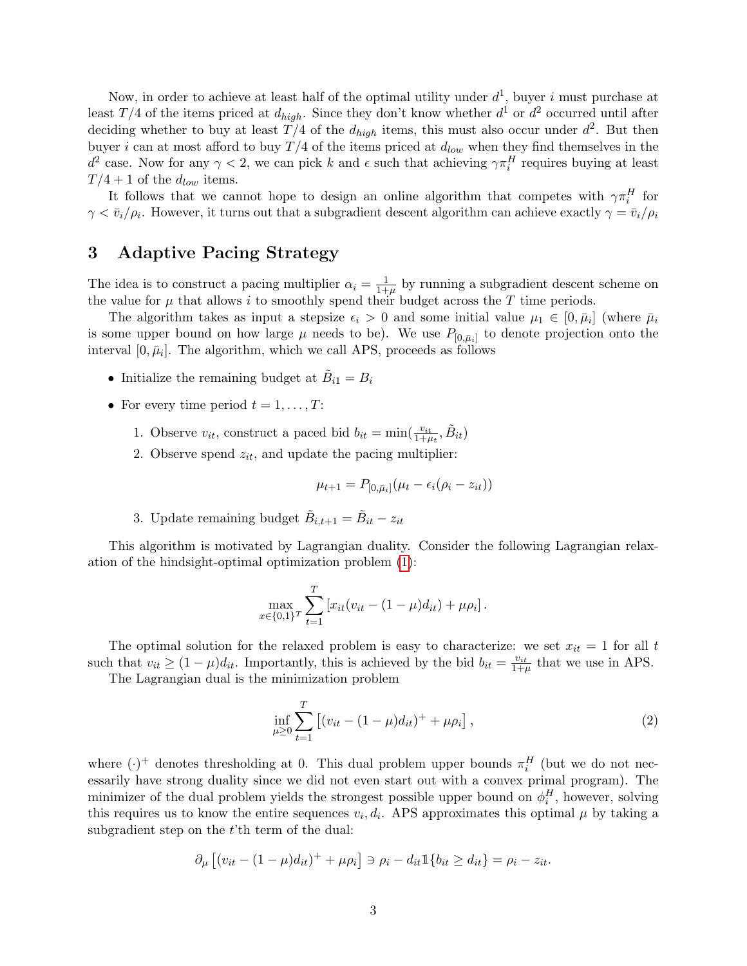Now, in order to achieve at least half of the optimal utility under  $d^1$ , buyer i must purchase at least  $T/4$  of the items priced at  $d_{high}$ . Since they don't know whether  $d^1$  or  $d^2$  occurred until after deciding whether to buy at least  $T/4$  of the  $d_{high}$  items, this must also occur under  $d^2$ . But then buyer i can at most afford to buy  $T/4$  of the items priced at  $d_{low}$  when they find themselves in the  $d^2$  case. Now for any  $\gamma < 2$ , we can pick k and  $\epsilon$  such that achieving  $\gamma \pi_i^H$  requires buying at least  $T/4 + 1$  of the  $d_{low}$  items.

It follows that we cannot hope to design an online algorithm that competes with  $\gamma \pi_i^H$  for  $\gamma < \bar{v}_i/\rho_i$ . However, it turns out that a subgradient descent algorithm can achieve exactly  $\gamma = \bar{v}_i/\rho_i$ .

# 3 Adaptive Pacing Strategy

The idea is to construct a pacing multiplier  $\alpha_i = \frac{1}{1+1}$  $\frac{1}{1+\mu}$  by running a subgradient descent scheme on the value for  $\mu$  that allows i to smoothly spend their budget across the T time periods.

The algorithm takes as input a stepsize  $\epsilon_i > 0$  and some initial value  $\mu_1 \in [0, \bar{\mu}_i]$  (where  $\bar{\mu}_i$ is some upper bound on how large  $\mu$  needs to be). We use  $P_{[0,\bar{\mu}_i]}$  to denote projection onto the interval  $[0, \bar{\mu}_i]$ . The algorithm, which we call APS, proceeds as follows

- Initialize the remaining budget at  $\tilde{B}_{i1} = B_i$
- For every time period  $t = 1, \ldots, T$ :
	- 1. Observe  $v_{it}$ , construct a paced bid  $b_{it} = \min(\frac{v_{it}}{1+\mu_t}, \tilde{B}_{it})$
	- 2. Observe spend  $z_{it}$ , and update the pacing multiplier:

$$
\mu_{t+1} = P_{[0,\bar{\mu}_i]}(\mu_t - \epsilon_i(\rho_i - z_{it}))
$$

3. Update remaining budget  $\tilde{B}_{i,t+1} = \tilde{B}_{it} - z_{it}$ 

This algorithm is motivated by Lagrangian duality. Consider the following Lagrangian relaxation of the hindsight-optimal optimization problem [\(1\)](#page-1-0):

$$
\max_{x \in \{0,1\}^T} \sum_{t=1}^T \left[ x_{it} (v_{it} - (1 - \mu) d_{it}) + \mu \rho_i \right].
$$

The optimal solution for the relaxed problem is easy to characterize: we set  $x_{it} = 1$  for all t such that  $v_{it} \geq (1 - \mu) d_{it}$ . Importantly, this is achieved by the bid  $b_{it} = \frac{v_{it}}{1 + \mu}$  that we use in APS.

The Lagrangian dual is the minimization problem

$$
\inf_{\mu \ge 0} \sum_{t=1}^{T} \left[ (v_{it} - (1 - \mu)d_{it})^{+} + \mu \rho_{i} \right], \tag{2}
$$

where  $(\cdot)^+$  denotes thresholding at 0. This dual problem upper bounds  $\pi_i^H$  (but we do not necessarily have strong duality since we did not even start out with a convex primal program). The minimizer of the dual problem yields the strongest possible upper bound on  $\phi_i^H$ , however, solving this requires us to know the entire sequences  $v_i, d_i$ . APS approximates this optimal  $\mu$  by taking a subgradient step on the t'th term of the dual:

$$
\partial_{\mu} \left[ (v_{it} - (1 - \mu) d_{it})^{+} + \mu \rho_i \right] \ni \rho_i - d_{it} \mathbb{1} \{ b_{it} \ge d_{it} \} = \rho_i - z_{it}.
$$